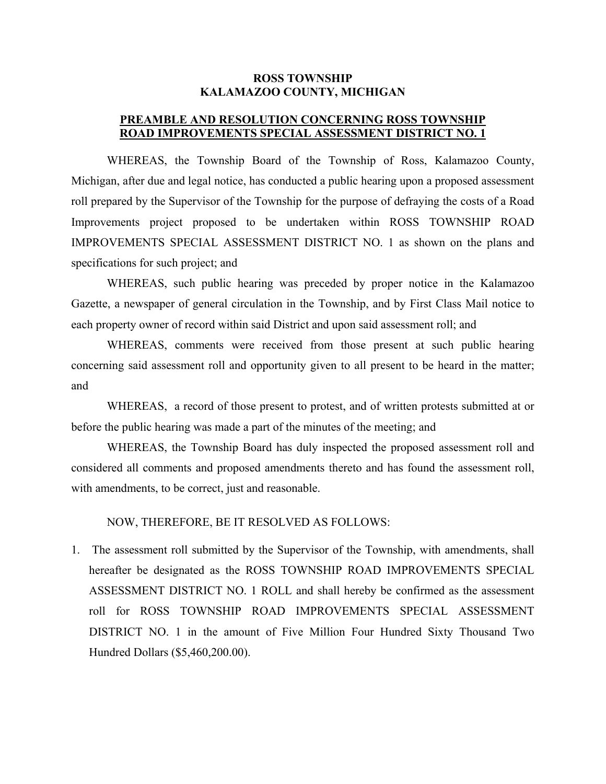## **ROSS TOWNSHIP KALAMAZOO COUNTY, MICHIGAN**

## **PREAMBLE AND RESOLUTION CONCERNING ROSS TOWNSHIP ROAD IMPROVEMENTS SPECIAL ASSESSMENT DISTRICT NO. 1**

WHEREAS, the Township Board of the Township of Ross, Kalamazoo County, Michigan, after due and legal notice, has conducted a public hearing upon a proposed assessment roll prepared by the Supervisor of the Township for the purpose of defraying the costs of a Road Improvements project proposed to be undertaken within ROSS TOWNSHIP ROAD IMPROVEMENTS SPECIAL ASSESSMENT DISTRICT NO. 1 as shown on the plans and specifications for such project; and

WHEREAS, such public hearing was preceded by proper notice in the Kalamazoo Gazette, a newspaper of general circulation in the Township, and by First Class Mail notice to each property owner of record within said District and upon said assessment roll; and

WHEREAS, comments were received from those present at such public hearing concerning said assessment roll and opportunity given to all present to be heard in the matter; and

WHEREAS, a record of those present to protest, and of written protests submitted at or before the public hearing was made a part of the minutes of the meeting; and

WHEREAS, the Township Board has duly inspected the proposed assessment roll and considered all comments and proposed amendments thereto and has found the assessment roll, with amendments, to be correct, just and reasonable.

NOW, THEREFORE, BE IT RESOLVED AS FOLLOWS:

1. The assessment roll submitted by the Supervisor of the Township, with amendments, shall hereafter be designated as the ROSS TOWNSHIP ROAD IMPROVEMENTS SPECIAL ASSESSMENT DISTRICT NO. 1 ROLL and shall hereby be confirmed as the assessment roll for ROSS TOWNSHIP ROAD IMPROVEMENTS SPECIAL ASSESSMENT DISTRICT NO. 1 in the amount of Five Million Four Hundred Sixty Thousand Two Hundred Dollars (\$5,460,200.00).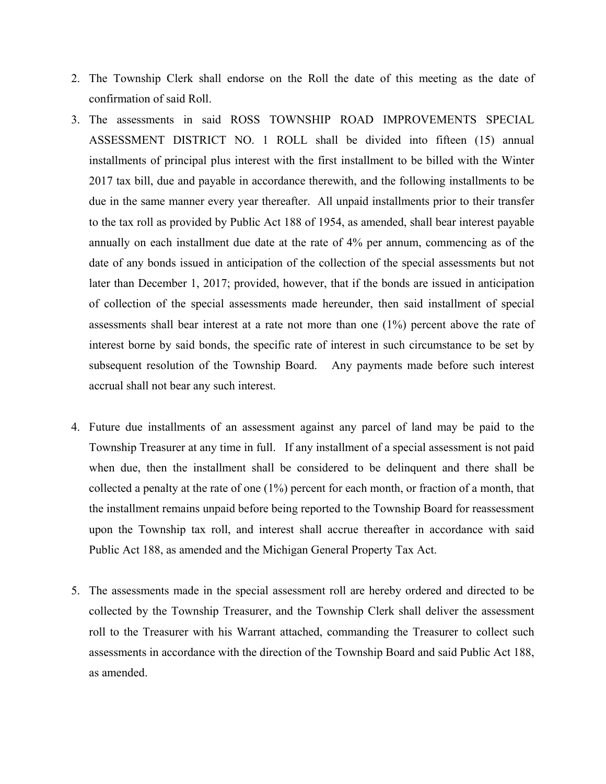- 2. The Township Clerk shall endorse on the Roll the date of this meeting as the date of confirmation of said Roll.
- 3. The assessments in said ROSS TOWNSHIP ROAD IMPROVEMENTS SPECIAL ASSESSMENT DISTRICT NO. 1 ROLL shall be divided into fifteen (15) annual installments of principal plus interest with the first installment to be billed with the Winter 2017 tax bill, due and payable in accordance therewith, and the following installments to be due in the same manner every year thereafter. All unpaid installments prior to their transfer to the tax roll as provided by Public Act 188 of 1954, as amended, shall bear interest payable annually on each installment due date at the rate of 4% per annum, commencing as of the date of any bonds issued in anticipation of the collection of the special assessments but not later than December 1, 2017; provided, however, that if the bonds are issued in anticipation of collection of the special assessments made hereunder, then said installment of special assessments shall bear interest at a rate not more than one (1%) percent above the rate of interest borne by said bonds, the specific rate of interest in such circumstance to be set by subsequent resolution of the Township Board. Any payments made before such interest accrual shall not bear any such interest.
- 4. Future due installments of an assessment against any parcel of land may be paid to the Township Treasurer at any time in full. If any installment of a special assessment is not paid when due, then the installment shall be considered to be delinquent and there shall be collected a penalty at the rate of one (1%) percent for each month, or fraction of a month, that the installment remains unpaid before being reported to the Township Board for reassessment upon the Township tax roll, and interest shall accrue thereafter in accordance with said Public Act 188, as amended and the Michigan General Property Tax Act.
- 5. The assessments made in the special assessment roll are hereby ordered and directed to be collected by the Township Treasurer, and the Township Clerk shall deliver the assessment roll to the Treasurer with his Warrant attached, commanding the Treasurer to collect such assessments in accordance with the direction of the Township Board and said Public Act 188, as amended.